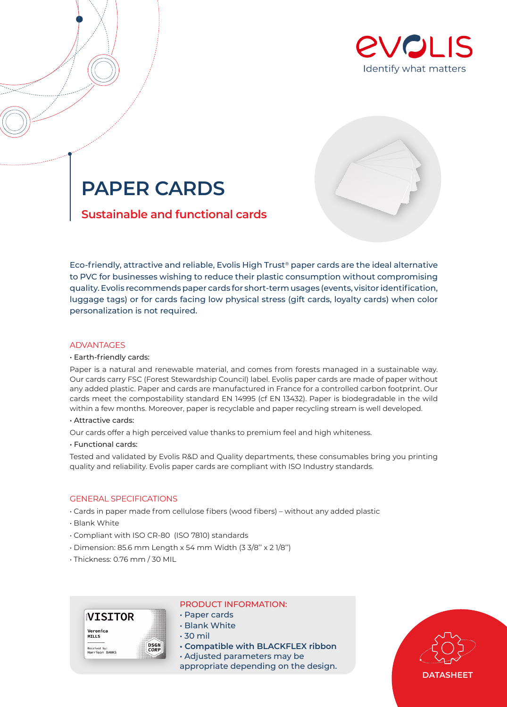



# **PAPER CARDS**

# **Sustainable and functional cards**

Eco-friendly, attractive and reliable, Evolis High Trust® paper cards are the ideal alternative to PVC for businesses wishing to reduce their plastic consumption without compromising quality. Evolis recommends paper cards for short-term usages (events, visitor identification, luggage tags) or for cards facing low physical stress (gift cards, loyalty cards) when color personalization is not required.

# **ADVANTAGES**

## • Earth-friendly cards:

Paper is a natural and renewable material, and comes from forests managed in a sustainable way. Our cards carry FSC (Forest Stewardship Council) label. Evolis paper cards are made of paper without any added plastic. Paper and cards are manufactured in France for a controlled carbon footprint. Our cards meet the compostability standard EN 14995 (cf EN 13432). Paper is biodegradable in the wild within a few months. Moreover, paper is recyclable and paper recycling stream is well developed.

# • Attractive cards:

Our cards offer a high perceived value thanks to premium feel and high whiteness.

# • Functional cards:

Tested and validated by Evolis R&D and Quality departments, these consumables bring you printing quality and reliability. Evolis paper cards are compliant with ISO Industry standards.

# GENERAL SPECIFICATIONS

- Cards in paper made from cellulose fibers (wood fibers) without any added plastic
- Blank White
- Compliant with ISO CR-80 (ISO 7810) standards
- Dimension: 85.6 mm Length x 54 mm Width (3 3/8'' x 2 1/8'')
- Thickness: 0.76 mm / 30 MIL



## PRODUCT INFORMATION:

- Paper cards
- Blank White
- 30 mil
- **Compatible with BLACKFLEX ribbon**

• Adjusted parameters may be appropriate depending on the design.